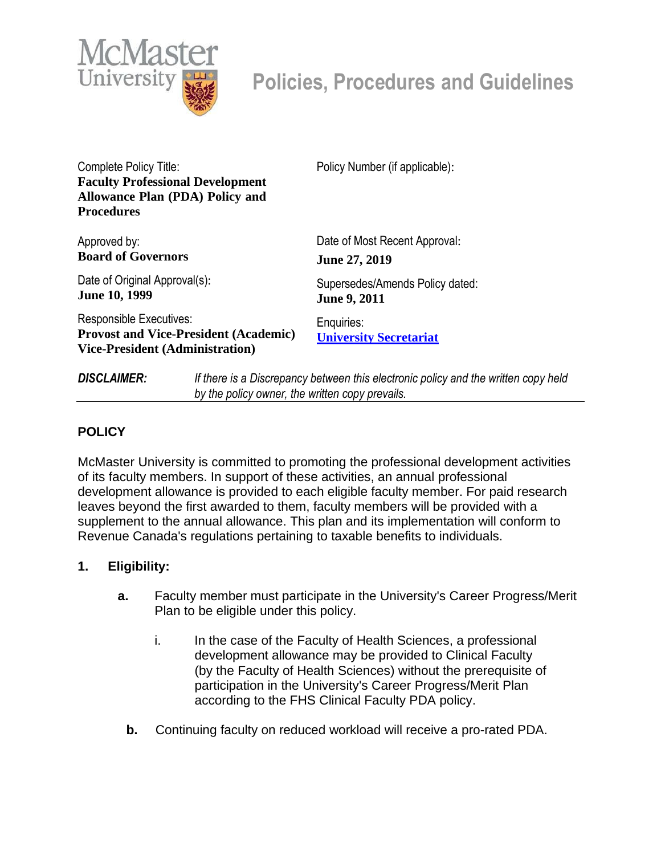

Complete Policy Title: **Faculty Professional Development Allowance Plan (PDA) Policy and Procedures**

Approved by: **Board of Governors**

Date of Original Approval(s): **June 10, 1999**

Responsible Executives: **Provost and Vice-President (Academic) Vice-President (Administration)**

Policy Number (if applicable):

Date of Most Recent Approval: **June 27, 2019**

Supersedes/Amends Policy dated: **June 9, 2011**

Enquiries: **University Secretariat**

*DISCLAIMER: If there is a Discrepancy between this electronic policy and the written copy held by the policy owner, the written copy prevails.*

## **POLICY**

McMaster University is committed to promoting the professional development activities of its faculty members. In support of these activities, an annual professional development allowance is provided to each eligible faculty member. For paid research leaves beyond the first awarded to them, faculty members will be provided with a supplement to the annual allowance. This plan and its implementation will conform to Revenue Canada's regulations pertaining to taxable benefits to individuals.

## **1. Eligibility:**

- **a.** Faculty member must participate in the University's Career Progress/Merit Plan to be eligible under this policy.
	- i. In the case of the Faculty of Health Sciences, a professional development allowance may be provided to Clinical Faculty (by the Faculty of Health Sciences) without the prerequisite of participation in the University's Career Progress/Merit Plan according to the FHS Clinical Faculty PDA policy.
	- **b.** Continuing faculty on reduced workload will receive a pro-rated PDA.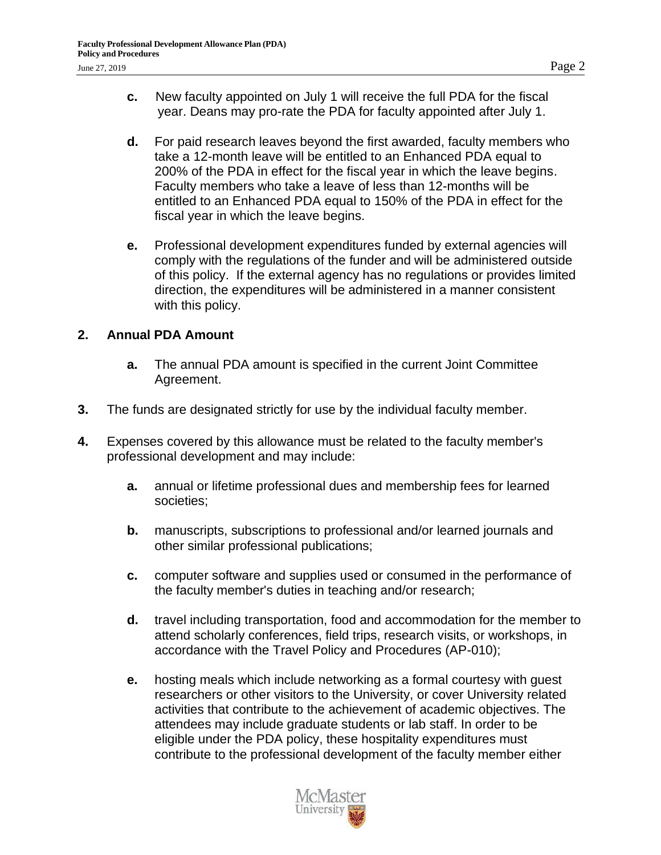- **c.** New faculty appointed on July 1 will receive the full PDA for the fiscal year. Deans may pro-rate the PDA for faculty appointed after July 1.
- **d.** For paid research leaves beyond the first awarded, faculty members who take a 12-month leave will be entitled to an Enhanced PDA equal to 200% of the PDA in effect for the fiscal year in which the leave begins. Faculty members who take a leave of less than 12-months will be entitled to an Enhanced PDA equal to 150% of the PDA in effect for the fiscal year in which the leave begins.
- **e.** Professional development expenditures funded by external agencies will comply with the regulations of the funder and will be administered outside of this policy. If the external agency has no regulations or provides limited direction, the expenditures will be administered in a manner consistent with this policy.

## **2. Annual PDA Amount**

- **a.** The annual PDA amount is specified in the current Joint Committee Agreement.
- **3.** The funds are designated strictly for use by the individual faculty member.
- **4.** Expenses covered by this allowance must be related to the faculty member's professional development and may include:
	- **a.** annual or lifetime professional dues and membership fees for learned societies;
	- **b.** manuscripts, subscriptions to professional and/or learned journals and other similar professional publications;
	- **c.** computer software and supplies used or consumed in the performance of the faculty member's duties in teaching and/or research;
	- **d.** travel including transportation, food and accommodation for the member to attend scholarly conferences, field trips, research visits, or workshops, in accordance with the Travel Policy and Procedures (AP-010);
	- **e.** hosting meals which include networking as a formal courtesy with guest researchers or other visitors to the University, or cover University related activities that contribute to the achievement of academic objectives. The attendees may include graduate students or lab staff. In order to be eligible under the PDA policy, these hospitality expenditures must contribute to the professional development of the faculty member either

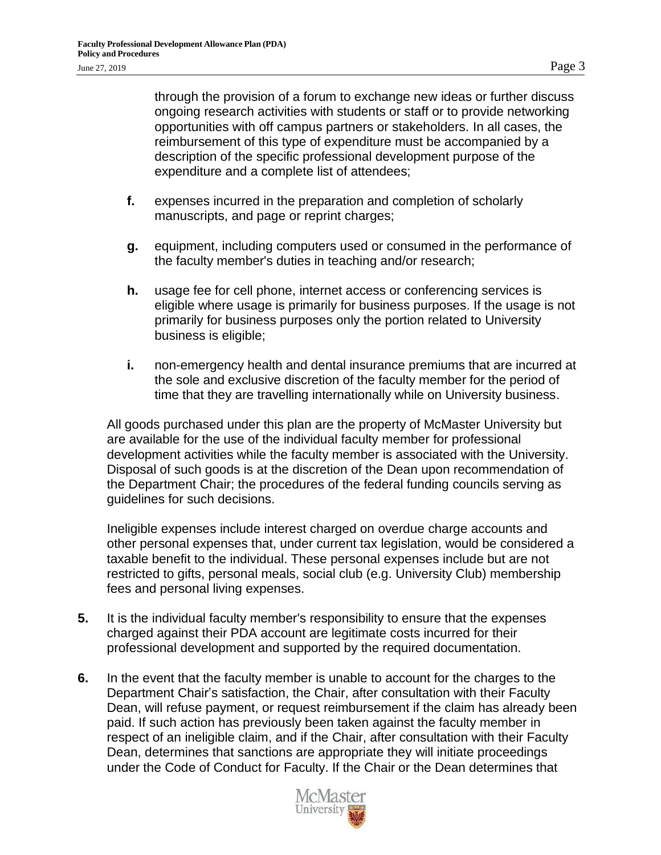through the provision of a forum to exchange new ideas or further discuss ongoing research activities with students or staff or to provide networking opportunities with off campus partners or stakeholders. In all cases, the reimbursement of this type of expenditure must be accompanied by a description of the specific professional development purpose of the expenditure and a complete list of attendees;

- **f.** expenses incurred in the preparation and completion of scholarly manuscripts, and page or reprint charges;
- **g.** equipment, including computers used or consumed in the performance of the faculty member's duties in teaching and/or research;
- **h.** usage fee for cell phone, internet access or conferencing services is eligible where usage is primarily for business purposes. If the usage is not primarily for business purposes only the portion related to University business is eligible;
- **i.** non-emergency health and dental insurance premiums that are incurred at the sole and exclusive discretion of the faculty member for the period of time that they are travelling internationally while on University business.

All goods purchased under this plan are the property of McMaster University but are available for the use of the individual faculty member for professional development activities while the faculty member is associated with the University. Disposal of such goods is at the discretion of the Dean upon recommendation of the Department Chair; the procedures of the federal funding councils serving as guidelines for such decisions.

Ineligible expenses include interest charged on overdue charge accounts and other personal expenses that, under current tax legislation, would be considered a taxable benefit to the individual. These personal expenses include but are not restricted to gifts, personal meals, social club (e.g. University Club) membership fees and personal living expenses.

- **5.** It is the individual faculty member's responsibility to ensure that the expenses charged against their PDA account are legitimate costs incurred for their professional development and supported by the required documentation.
- **6.** In the event that the faculty member is unable to account for the charges to the Department Chair's satisfaction, the Chair, after consultation with their Faculty Dean, will refuse payment, or request reimbursement if the claim has already been paid. If such action has previously been taken against the faculty member in respect of an ineligible claim, and if the Chair, after consultation with their Faculty Dean, determines that sanctions are appropriate they will initiate proceedings under the Code of Conduct for Faculty. If the Chair or the Dean determines that